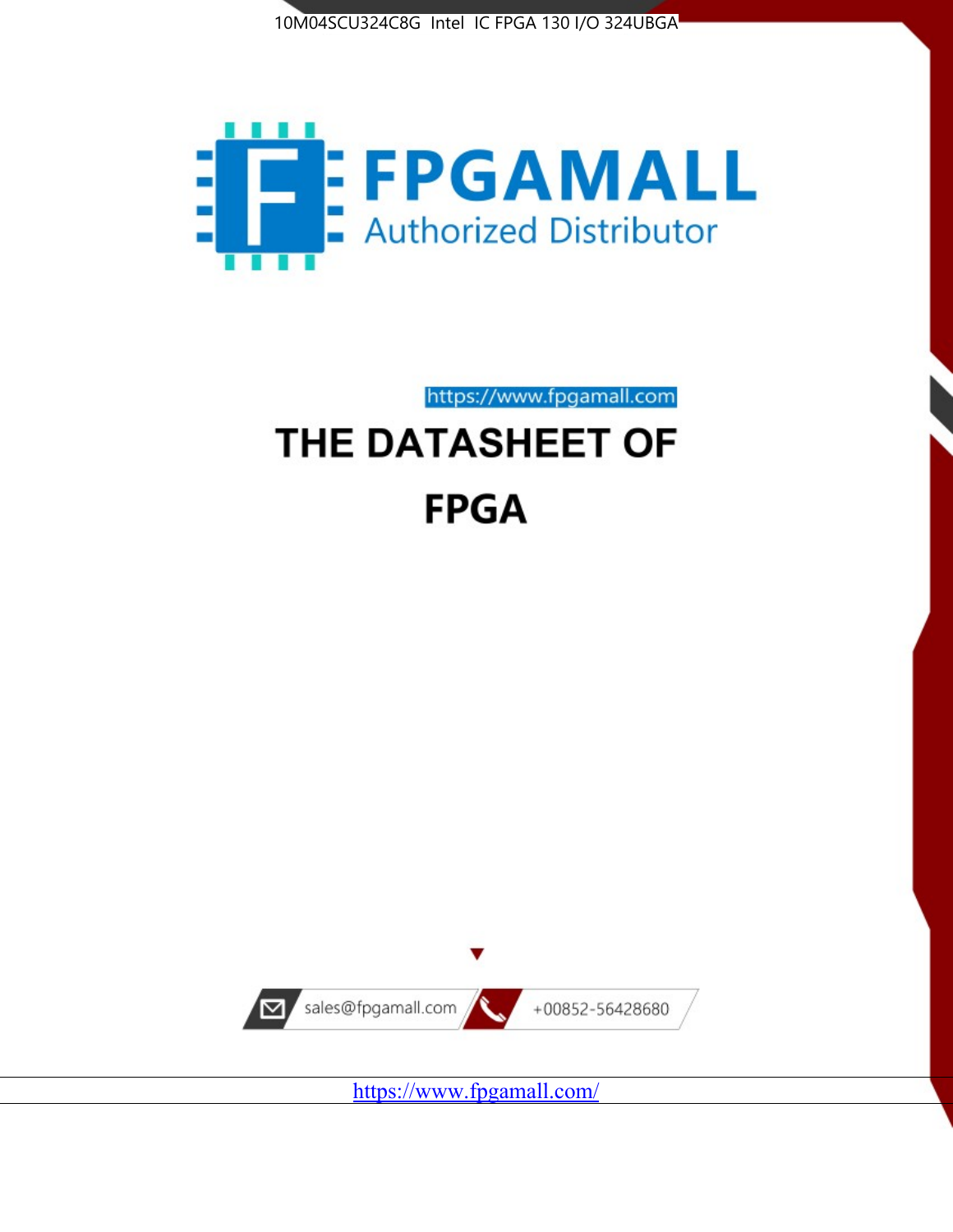



https://www.fpgamall.com THE DATASHEET OF

# **FPGA**



<https://www.fpgamall.com/>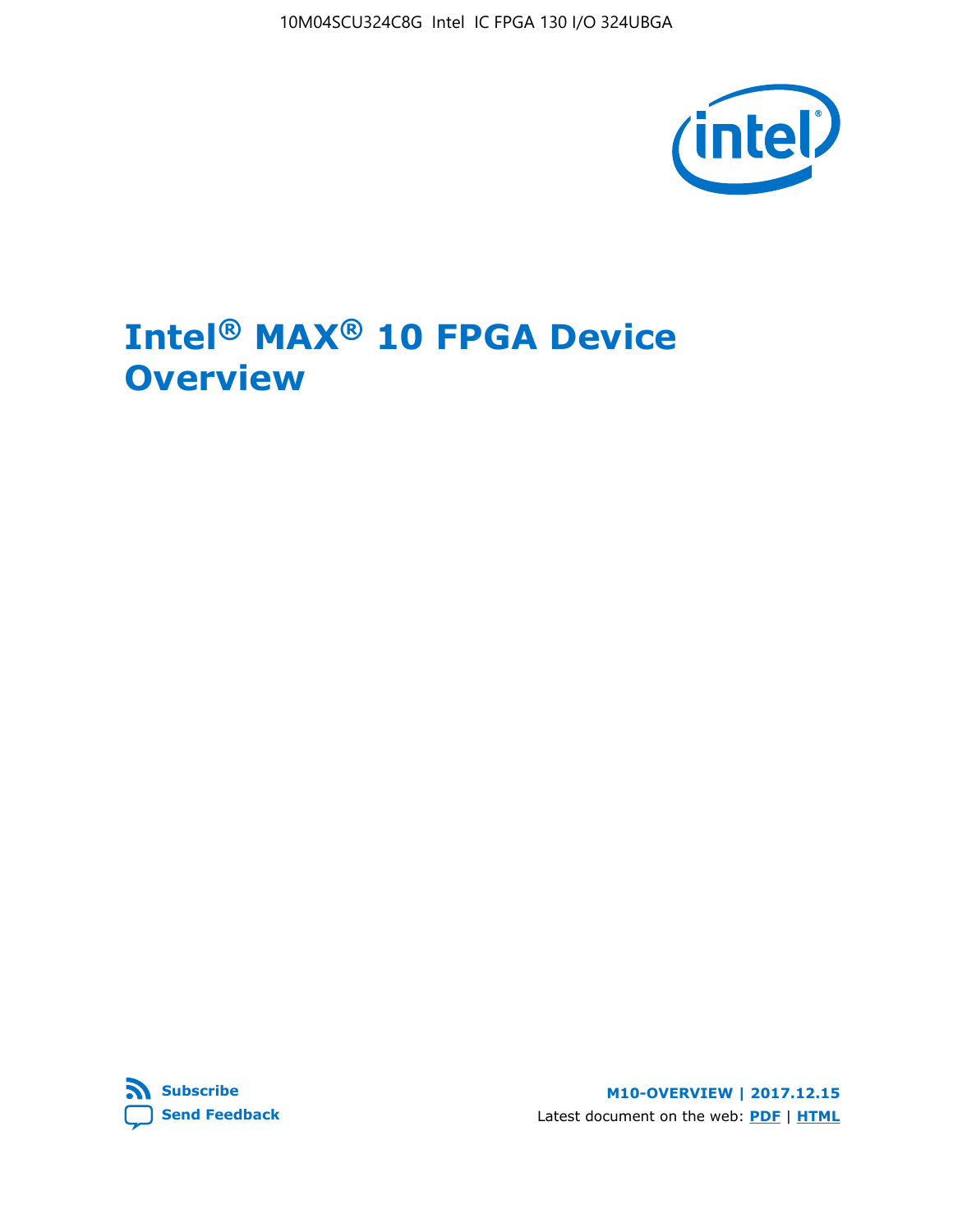10M04SCU324C8G Intel IC FPGA 130 I/O 324UBGA



## **Intel® MAX® 10 FPGA Device Overview**



**M10-OVERVIEW | 2017.12.15** Latest document on the web: **[PDF](https://www.altera.com/en_US/pdfs/literature/hb/max-10/m10_overview.pdf)** | **[HTML](https://www.altera.com/documentation/myt1396938463674.html)**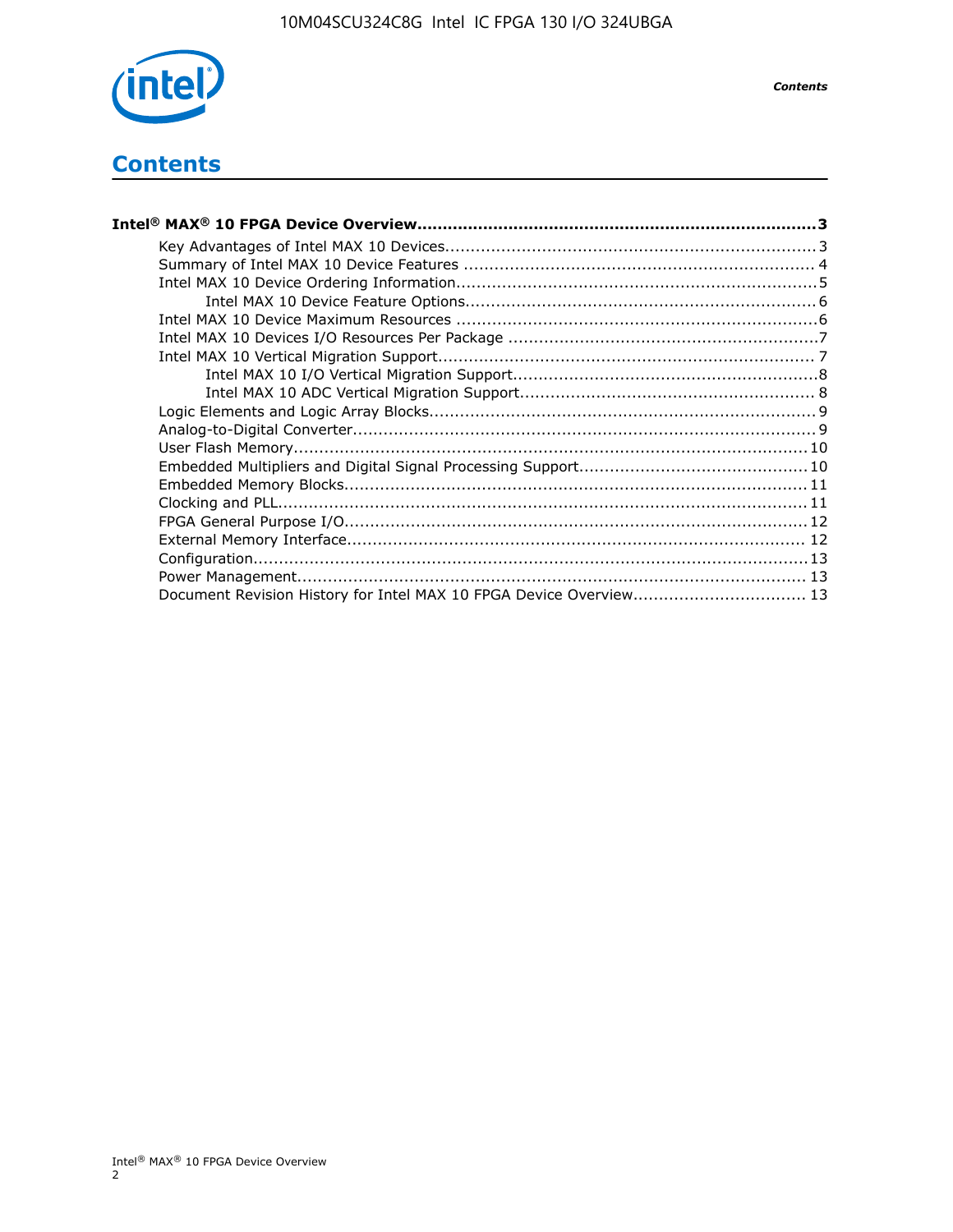

## **Contents**

| Intel® MAX® 10 FPGA Device Overview……………………………………………………………………………3  |  |
|--------------------------------------------------------------------|--|
|                                                                    |  |
|                                                                    |  |
|                                                                    |  |
|                                                                    |  |
|                                                                    |  |
|                                                                    |  |
|                                                                    |  |
|                                                                    |  |
|                                                                    |  |
|                                                                    |  |
|                                                                    |  |
|                                                                    |  |
|                                                                    |  |
|                                                                    |  |
|                                                                    |  |
|                                                                    |  |
|                                                                    |  |
|                                                                    |  |
|                                                                    |  |
| Document Revision History for Intel MAX 10 FPGA Device Overview 13 |  |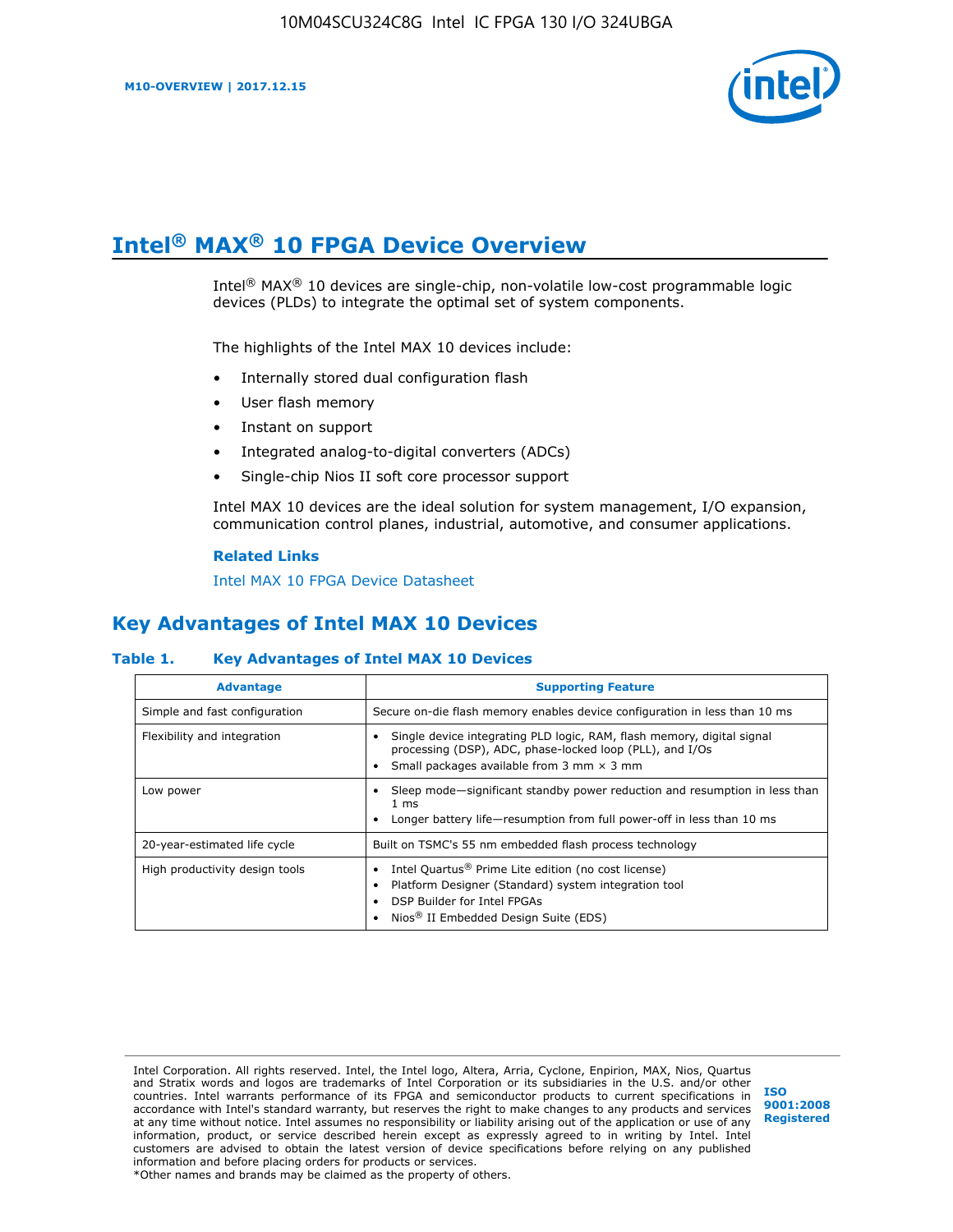

## **Intel® MAX® 10 FPGA Device Overview**

Intel® MAX® 10 devices are single-chip, non-volatile low-cost programmable logic devices (PLDs) to integrate the optimal set of system components.

The highlights of the Intel MAX 10 devices include:

- Internally stored dual configuration flash
- User flash memory
- Instant on support
- Integrated analog-to-digital converters (ADCs)
- Single-chip Nios II soft core processor support

Intel MAX 10 devices are the ideal solution for system management, I/O expansion, communication control planes, industrial, automotive, and consumer applications.

#### **Related Links**

[Intel MAX 10 FPGA Device Datasheet](https://www.altera.com/documentation/mcn1397700832153.html#mcn1397643748870)

## **Key Advantages of Intel MAX 10 Devices**

#### **Table 1. Key Advantages of Intel MAX 10 Devices**

| <b>Advantage</b>               | <b>Supporting Feature</b>                                                                                                                                                                                  |
|--------------------------------|------------------------------------------------------------------------------------------------------------------------------------------------------------------------------------------------------------|
| Simple and fast configuration  | Secure on-die flash memory enables device configuration in less than 10 ms                                                                                                                                 |
| Flexibility and integration    | Single device integrating PLD logic, RAM, flash memory, digital signal<br>processing (DSP), ADC, phase-locked loop (PLL), and I/Os<br>Small packages available from 3 mm $\times$ 3 mm                     |
| Low power                      | Sleep mode—significant standby power reduction and resumption in less than<br>$1 \text{ ms}$<br>Longer battery life-resumption from full power-off in less than 10 ms                                      |
| 20-year-estimated life cycle   | Built on TSMC's 55 nm embedded flash process technology                                                                                                                                                    |
| High productivity design tools | Intel Quartus <sup>®</sup> Prime Lite edition (no cost license)<br>Platform Designer (Standard) system integration tool<br>DSP Builder for Intel FPGAs<br>Nios <sup>®</sup> II Embedded Design Suite (EDS) |

Intel Corporation. All rights reserved. Intel, the Intel logo, Altera, Arria, Cyclone, Enpirion, MAX, Nios, Quartus and Stratix words and logos are trademarks of Intel Corporation or its subsidiaries in the U.S. and/or other countries. Intel warrants performance of its FPGA and semiconductor products to current specifications in accordance with Intel's standard warranty, but reserves the right to make changes to any products and services at any time without notice. Intel assumes no responsibility or liability arising out of the application or use of any information, product, or service described herein except as expressly agreed to in writing by Intel. Intel customers are advised to obtain the latest version of device specifications before relying on any published information and before placing orders for products or services. \*Other names and brands may be claimed as the property of others.

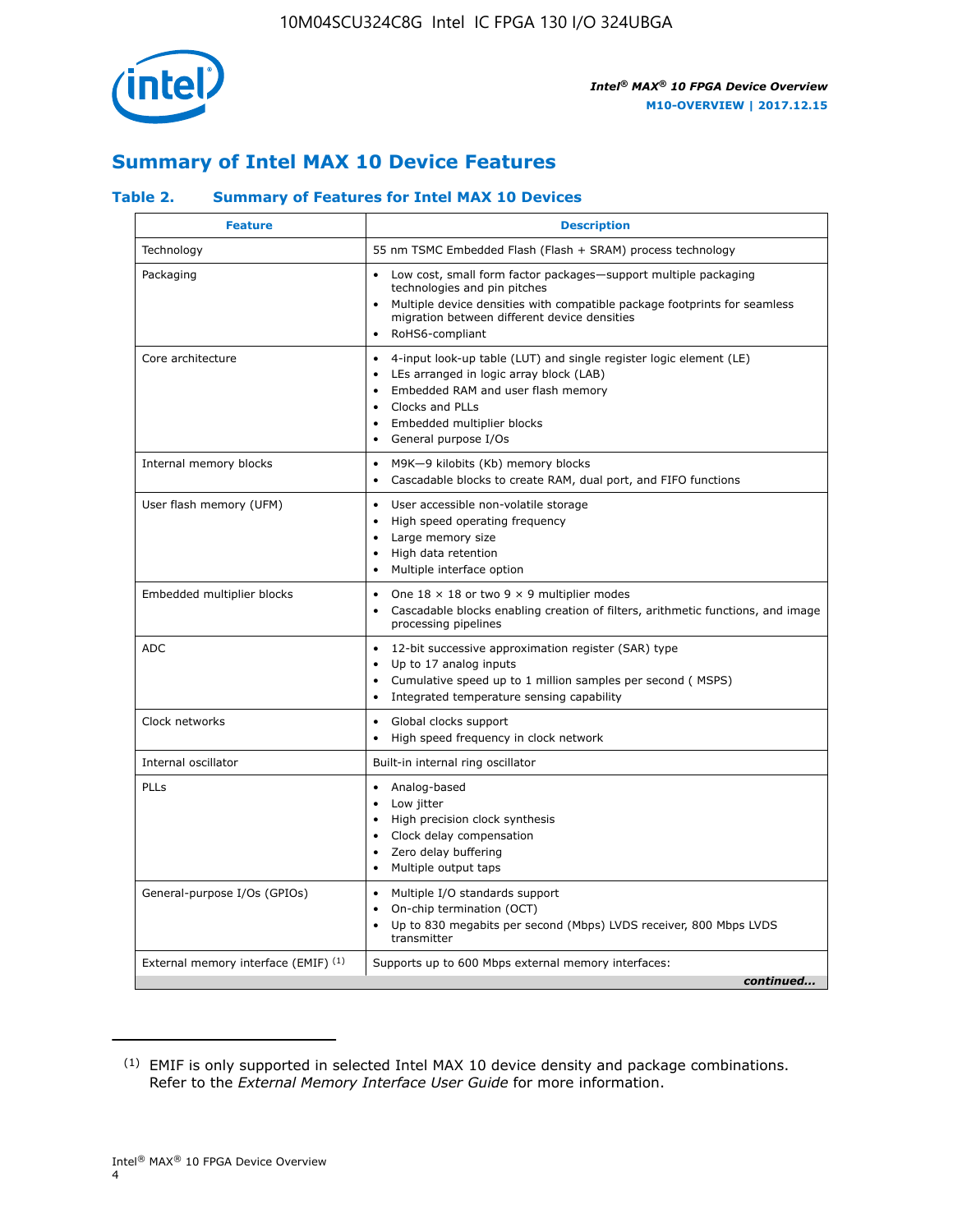

## **Summary of Intel MAX 10 Device Features**

#### **Table 2. Summary of Features for Intel MAX 10 Devices**

| <b>Feature</b>                       | <b>Description</b>                                                                                                                                                                                                                                                                                         |
|--------------------------------------|------------------------------------------------------------------------------------------------------------------------------------------------------------------------------------------------------------------------------------------------------------------------------------------------------------|
| Technology                           | 55 nm TSMC Embedded Flash (Flash + SRAM) process technology                                                                                                                                                                                                                                                |
| Packaging                            | Low cost, small form factor packages-support multiple packaging<br>technologies and pin pitches<br>Multiple device densities with compatible package footprints for seamless<br>migration between different device densities<br>RoHS6-compliant                                                            |
| Core architecture                    | 4-input look-up table (LUT) and single register logic element (LE)<br>$\bullet$<br>LEs arranged in logic array block (LAB)<br>$\bullet$<br>Embedded RAM and user flash memory<br>$\bullet$<br>Clocks and PLLs<br>$\bullet$<br>Embedded multiplier blocks<br>$\bullet$<br>General purpose I/Os<br>$\bullet$ |
| Internal memory blocks               | M9K-9 kilobits (Kb) memory blocks<br>$\bullet$<br>Cascadable blocks to create RAM, dual port, and FIFO functions<br>$\bullet$                                                                                                                                                                              |
| User flash memory (UFM)              | User accessible non-volatile storage<br>$\bullet$<br>High speed operating frequency<br>$\bullet$<br>Large memory size<br>High data retention<br>$\bullet$<br>Multiple interface option                                                                                                                     |
| Embedded multiplier blocks           | One $18 \times 18$ or two 9 $\times$ 9 multiplier modes<br>$\bullet$<br>Cascadable blocks enabling creation of filters, arithmetic functions, and image<br>processing pipelines                                                                                                                            |
| <b>ADC</b>                           | 12-bit successive approximation register (SAR) type<br>$\bullet$<br>Up to 17 analog inputs<br>$\bullet$<br>Cumulative speed up to 1 million samples per second (MSPS)<br>Integrated temperature sensing capability<br>$\bullet$                                                                            |
| Clock networks                       | Global clocks support<br>$\bullet$<br>High speed frequency in clock network                                                                                                                                                                                                                                |
| Internal oscillator                  | Built-in internal ring oscillator                                                                                                                                                                                                                                                                          |
| PLLs                                 | • Analog-based<br>Low jitter<br>$\bullet$<br>High precision clock synthesis<br>$\bullet$<br>Clock delay compensation<br>$\bullet$<br>Zero delay buffering<br>$\bullet$<br>Multiple output taps<br>$\bullet$                                                                                                |
| General-purpose I/Os (GPIOs)         | • Multiple I/O standards support<br>On-chip termination (OCT)<br>$\bullet$<br>Up to 830 megabits per second (Mbps) LVDS receiver, 800 Mbps LVDS<br>transmitter                                                                                                                                             |
| External memory interface (EMIF) (1) | Supports up to 600 Mbps external memory interfaces:<br>continued                                                                                                                                                                                                                                           |

<sup>(1)</sup> EMIF is only supported in selected Intel MAX 10 device density and package combinations. Refer to the *External Memory Interface User Guide* for more information.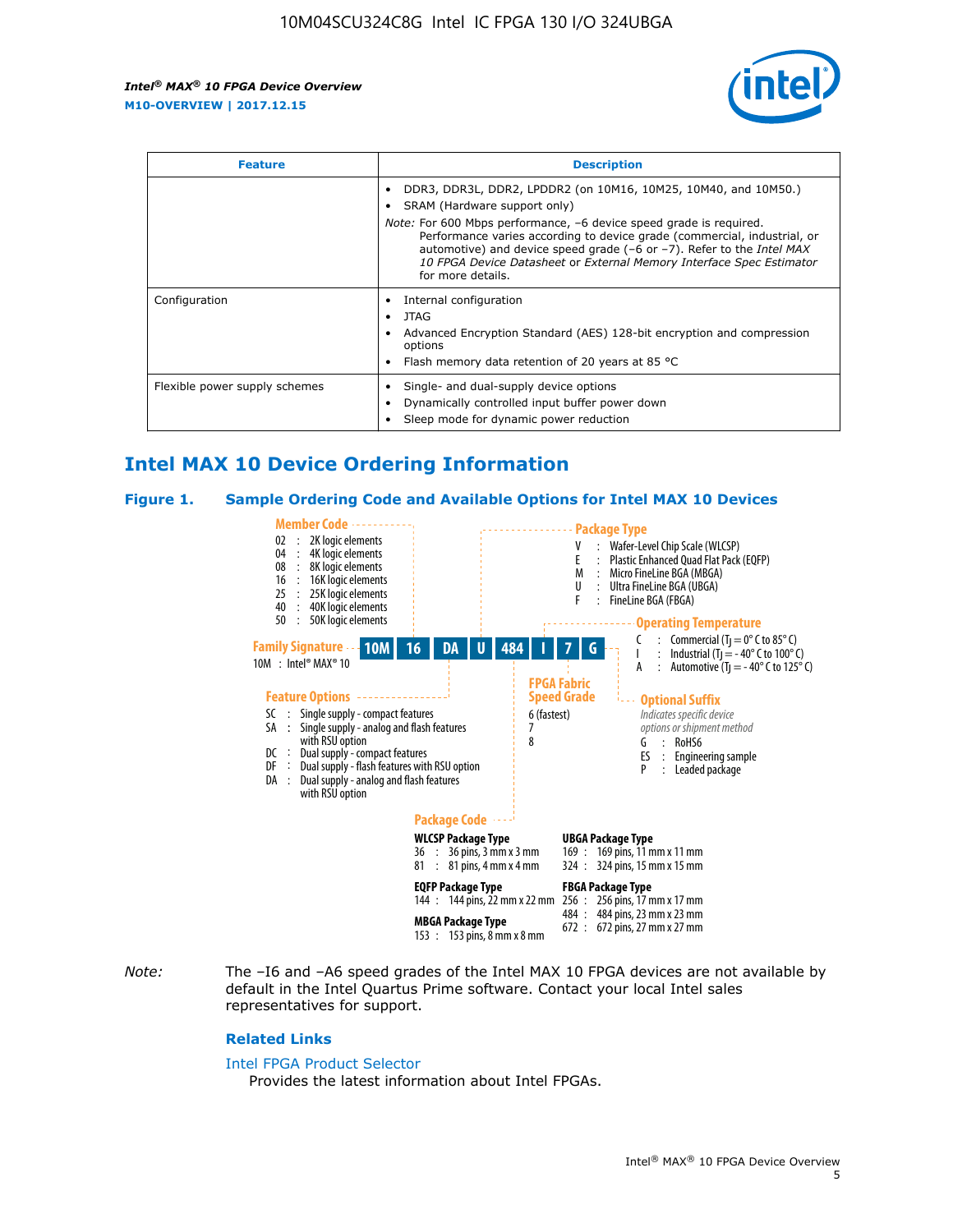

| <b>Feature</b>                | <b>Description</b>                                                                                                                                                                                                                                                                                                                                                                                                          |  |  |  |
|-------------------------------|-----------------------------------------------------------------------------------------------------------------------------------------------------------------------------------------------------------------------------------------------------------------------------------------------------------------------------------------------------------------------------------------------------------------------------|--|--|--|
|                               | DDR3, DDR3L, DDR2, LPDDR2 (on 10M16, 10M25, 10M40, and 10M50.)<br>SRAM (Hardware support only)<br><i>Note:</i> For 600 Mbps performance, -6 device speed grade is required.<br>Performance varies according to device grade (commercial, industrial, or<br>automotive) and device speed grade $(-6 \text{ or } -7)$ . Refer to the <i>Intel MAX</i><br>10 FPGA Device Datasheet or External Memory Interface Spec Estimator |  |  |  |
|                               | for more details.                                                                                                                                                                                                                                                                                                                                                                                                           |  |  |  |
| Configuration                 | Internal configuration<br>JTAG<br>٠<br>Advanced Encryption Standard (AES) 128-bit encryption and compression<br>options<br>Flash memory data retention of 20 years at 85 $^{\circ}$ C                                                                                                                                                                                                                                       |  |  |  |
| Flexible power supply schemes | Single- and dual-supply device options<br>Dynamically controlled input buffer power down<br>Sleep mode for dynamic power reduction                                                                                                                                                                                                                                                                                          |  |  |  |

## **Intel MAX 10 Device Ordering Information**

#### **Figure 1. Sample Ordering Code and Available Options for Intel MAX 10 Devices**



*Note:* The –I6 and –A6 speed grades of the Intel MAX 10 FPGA devices are not available by default in the Intel Quartus Prime software. Contact your local Intel sales representatives for support.

#### **Related Links**

#### [Intel FPGA Product Selector](http://www.altera.com/products/selector/psg-selector.html)

Provides the latest information about Intel FPGAs.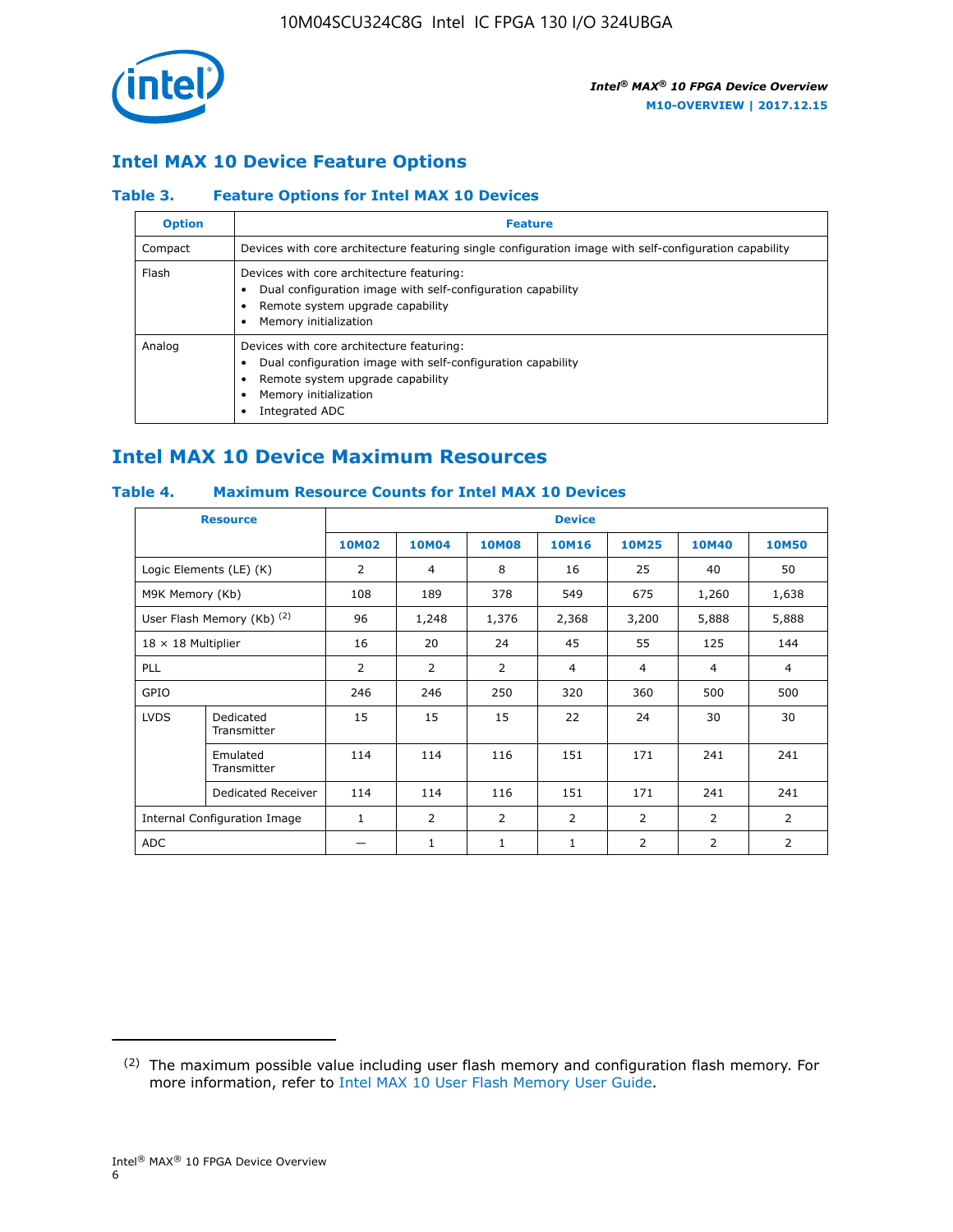

## **Intel MAX 10 Device Feature Options**

#### **Table 3. Feature Options for Intel MAX 10 Devices**

| <b>Option</b> | <b>Feature</b>                                                                                                                                                                          |
|---------------|-----------------------------------------------------------------------------------------------------------------------------------------------------------------------------------------|
| Compact       | Devices with core architecture featuring single configuration image with self-configuration capability                                                                                  |
| Flash         | Devices with core architecture featuring:<br>Dual configuration image with self-configuration capability<br>Remote system upgrade capability<br>Memory initialization                   |
| Analog        | Devices with core architecture featuring:<br>Dual configuration image with self-configuration capability<br>Remote system upgrade capability<br>Memory initialization<br>Integrated ADC |

## **Intel MAX 10 Device Maximum Resources**

#### **Table 4. Maximum Resource Counts for Intel MAX 10 Devices**

|                 | <b>Resource</b>              | <b>Device</b>  |              |              |                |                |                |                |
|-----------------|------------------------------|----------------|--------------|--------------|----------------|----------------|----------------|----------------|
|                 |                              | <b>10M02</b>   | <b>10M04</b> | <b>10M08</b> | <b>10M16</b>   | <b>10M25</b>   | <b>10M40</b>   | <b>10M50</b>   |
|                 | Logic Elements (LE) (K)      | 2              | 4            | 8            | 16             | 25             | 40             | 50             |
| M9K Memory (Kb) |                              | 108            | 189          | 378          | 549            | 675            | 1,260          | 1,638          |
|                 | User Flash Memory (Kb) (2)   | 96             | 1,248        | 1,376        | 2,368          | 3,200          | 5,888          | 5,888          |
|                 | $18 \times 18$ Multiplier    |                | 20           | 24           | 45             | 55             | 125            | 144            |
| <b>PLL</b>      |                              | $\overline{2}$ | 2            | 2            | 4              | $\overline{4}$ | 4              | $\overline{4}$ |
| GPIO            |                              | 246            | 246          | 250          | 320            | 360            | 500            | 500            |
| <b>LVDS</b>     | Dedicated<br>Transmitter     | 15             | 15           | 15           | 22             | 24             | 30             | 30             |
|                 | Emulated<br>Transmitter      | 114            | 114          | 116          | 151            | 171            | 241            | 241            |
|                 | Dedicated Receiver           | 114            | 114          | 116          | 151            | 171            | 241            | 241            |
|                 | Internal Configuration Image | $\mathbf{1}$   | 2            | 2            | $\overline{2}$ | 2              | $\overline{2}$ | $\overline{2}$ |
| <b>ADC</b>      |                              |                | 1            | 1            | 1              | 2              | 2              | $\overline{2}$ |

<sup>(2)</sup> The maximum possible value including user flash memory and configuration flash memory. For more information, refer to [Intel MAX 10 User Flash Memory User Guide](https://www.altera.com/documentation/vgo1395753117436.html#vgo1395811844282).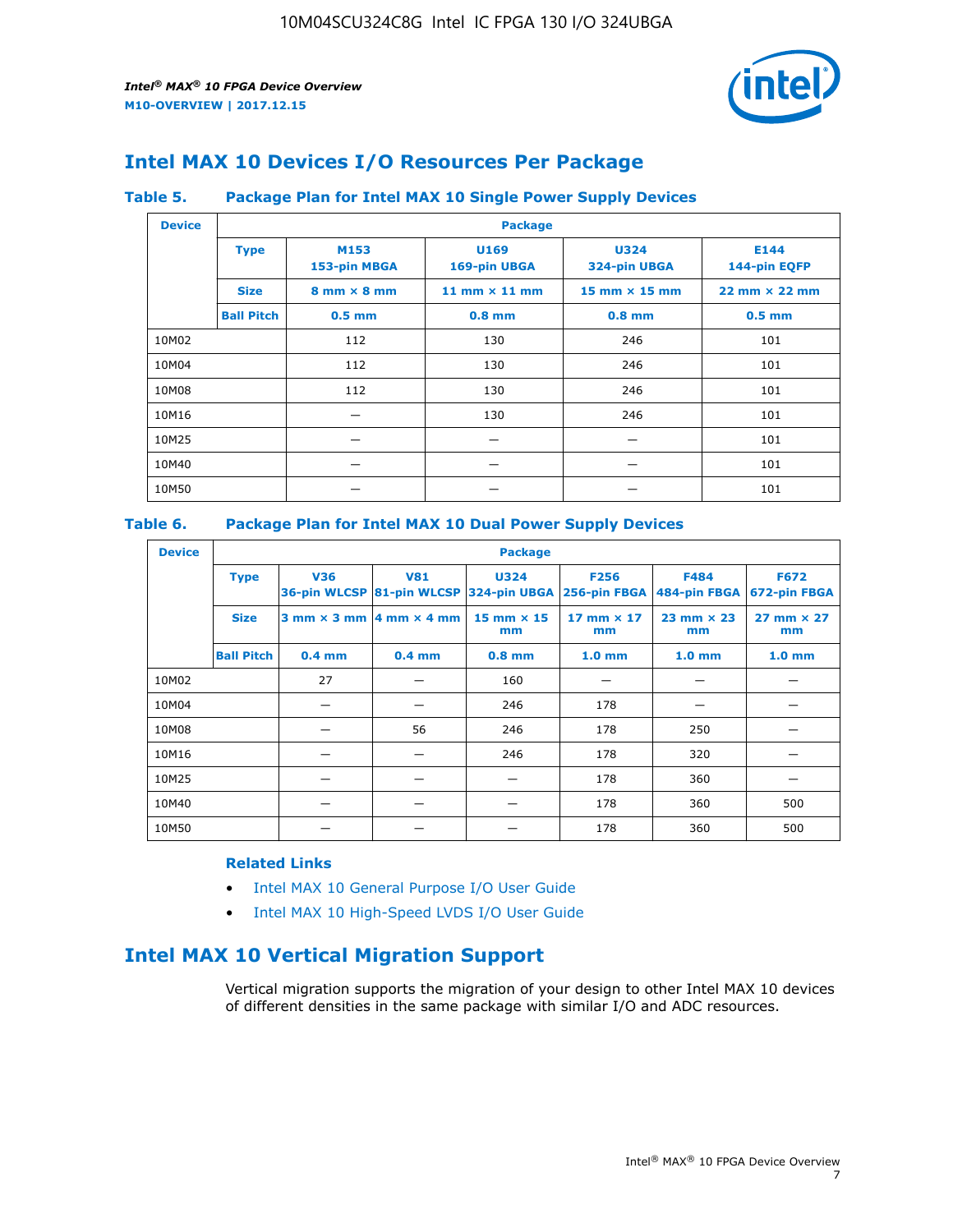

## **Intel MAX 10 Devices I/O Resources Per Package**

#### **Table 5. Package Plan for Intel MAX 10 Single Power Supply Devices**

| <b>Device</b> |                   | <b>Package</b>                     |                      |                             |                                      |     |  |  |  |
|---------------|-------------------|------------------------------------|----------------------|-----------------------------|--------------------------------------|-----|--|--|--|
|               | <b>Type</b>       | M153<br>153-pin MBGA               | U169<br>169-pin UBGA | <b>U324</b><br>324-pin UBGA | E144<br>144-pin EQFP                 |     |  |  |  |
|               | <b>Size</b>       | $8 \text{ mm} \times 8 \text{ mm}$ | 11 mm $\times$ 11 mm | $15$ mm $\times$ 15 mm      | $22 \text{ mm} \times 22 \text{ mm}$ |     |  |  |  |
|               | <b>Ball Pitch</b> | $0.5$ mm                           | $0.8$ mm             | $0.8$ mm                    | $0.5$ mm                             |     |  |  |  |
| 10M02         |                   | 112                                | 130                  | 246                         | 101                                  |     |  |  |  |
| 10M04         |                   | 112                                | 130                  | 246                         | 101                                  |     |  |  |  |
| 10M08         |                   | 112<br>130                         |                      | 246                         | 101                                  |     |  |  |  |
| 10M16         |                   |                                    | 130                  |                             | 246                                  | 101 |  |  |  |
| 10M25         |                   |                                    |                      |                             | 101                                  |     |  |  |  |
| 10M40         |                   |                                    |                      |                             | 101                                  |     |  |  |  |
| 10M50         |                   |                                    |                      |                             | 101                                  |     |  |  |  |

#### **Table 6. Package Plan for Intel MAX 10 Dual Power Supply Devices**

| <b>Device</b> |                   | <b>Package</b> |                                                 |                                                                    |                           |                           |                             |  |  |
|---------------|-------------------|----------------|-------------------------------------------------|--------------------------------------------------------------------|---------------------------|---------------------------|-----------------------------|--|--|
|               | <b>Type</b>       | <b>V36</b>     | <b>V81</b>                                      | <b>U324</b><br>36-pin WLCSP 81-pin WLCSP 324-pin UBGA 256-pin FBGA | <b>F256</b>               | F484<br>484-pin FBGA      | <b>F672</b><br>672-pin FBGA |  |  |
|               | <b>Size</b>       |                | $3$ mm $\times$ 3 mm $\vert$ 4 mm $\times$ 4 mm | $15$ mm $\times$ 15<br>mm                                          | $17$ mm $\times$ 17<br>mm | $23$ mm $\times$ 23<br>mm | $27$ mm $\times$ 27<br>mm   |  |  |
|               | <b>Ball Pitch</b> | $0.4$ mm       | $0.4$ mm                                        | $0.8$ mm                                                           | 1.0 <sub>mm</sub>         | 1.0 <sub>mm</sub>         | 1.0 <sub>mm</sub>           |  |  |
| 10M02         |                   | 27             |                                                 | 160                                                                |                           |                           |                             |  |  |
| 10M04         |                   |                |                                                 | 246                                                                | 178                       |                           |                             |  |  |
| 10M08         |                   |                | 56                                              | 246                                                                | 178                       | 250                       |                             |  |  |
| 10M16         |                   |                |                                                 | 246                                                                | 178                       | 320                       |                             |  |  |
| 10M25         |                   |                |                                                 |                                                                    | 178                       | 360                       |                             |  |  |
| 10M40         |                   |                |                                                 |                                                                    | 178                       | 360                       | 500                         |  |  |
| 10M50         |                   |                |                                                 |                                                                    | 178                       | 360                       | 500                         |  |  |

#### **Related Links**

- [Intel MAX 10 General Purpose I/O User Guide](https://www.altera.com/documentation/sam1393999966669.html#sam1394000084476)
- [Intel MAX 10 High-Speed LVDS I/O User Guide](https://www.altera.com/documentation/sam1394433606063.html#sam1394433911642)

## **Intel MAX 10 Vertical Migration Support**

Vertical migration supports the migration of your design to other Intel MAX 10 devices of different densities in the same package with similar I/O and ADC resources.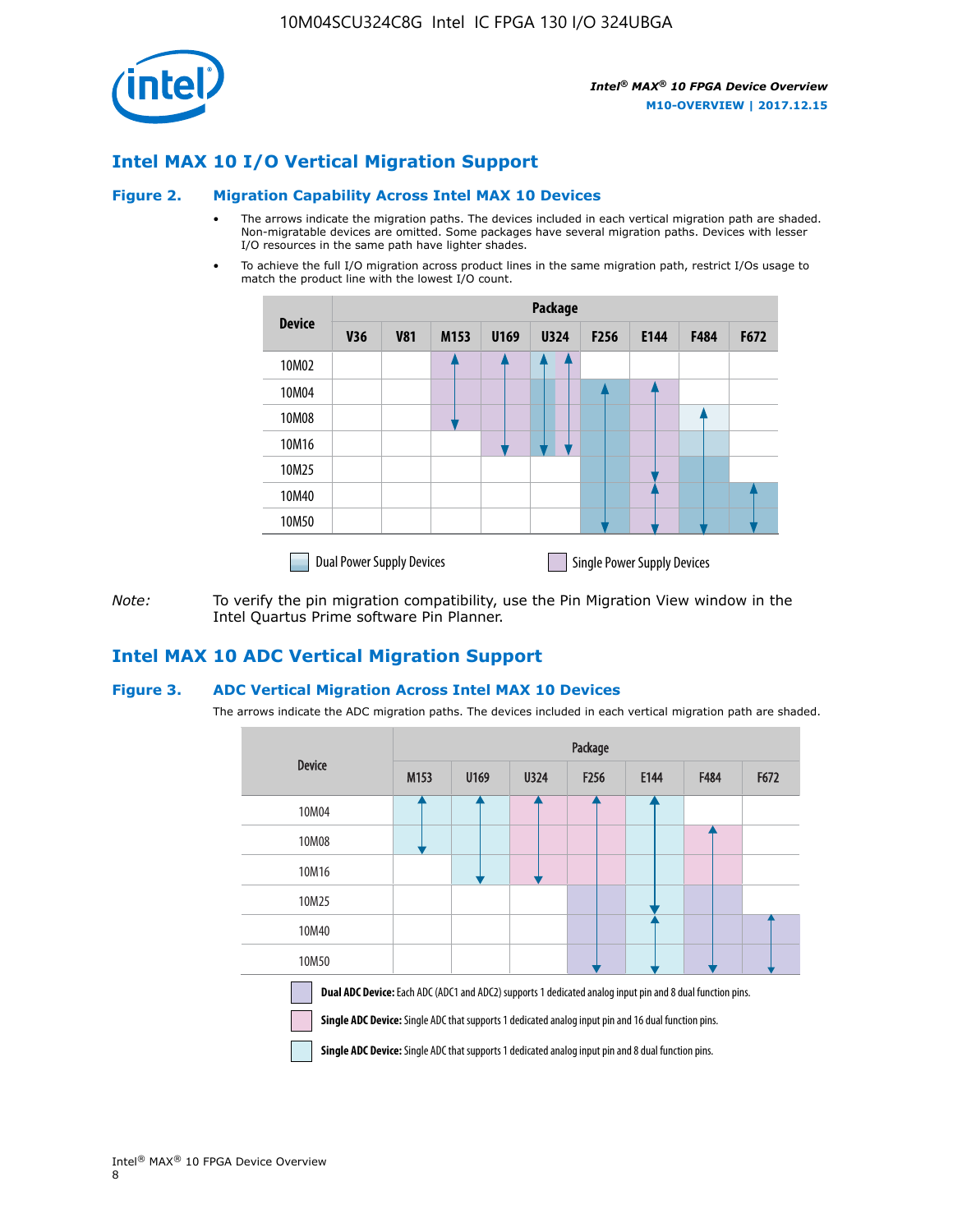

## **Intel MAX 10 I/O Vertical Migration Support**

#### **Figure 2. Migration Capability Across Intel MAX 10 Devices**

- The arrows indicate the migration paths. The devices included in each vertical migration path are shaded. Non-migratable devices are omitted. Some packages have several migration paths. Devices with lesser I/O resources in the same path have lighter shades.
- To achieve the full I/O migration across product lines in the same migration path, restrict I/Os usage to match the product line with the lowest I/O count.

|               | <b>Package</b>                   |            |      |      |             |                  |                                    |      |      |
|---------------|----------------------------------|------------|------|------|-------------|------------------|------------------------------------|------|------|
| <b>Device</b> | <b>V36</b>                       | <b>V81</b> | M153 | U169 | <b>U324</b> | F <sub>256</sub> | E144                               | F484 | F672 |
| 10M02         |                                  |            |      |      | 7           |                  |                                    |      |      |
| 10M04         |                                  |            |      |      |             |                  |                                    |      |      |
| 10M08         |                                  |            |      |      |             |                  |                                    |      |      |
| 10M16         |                                  |            |      |      |             |                  |                                    |      |      |
| 10M25         |                                  |            |      |      |             |                  |                                    |      |      |
| 10M40         |                                  |            |      |      |             |                  |                                    |      |      |
| 10M50         |                                  |            |      |      |             |                  |                                    |      |      |
|               | <b>Dual Power Supply Devices</b> |            |      |      |             |                  | <b>Single Power Supply Devices</b> |      |      |

*Note:* To verify the pin migration compatibility, use the Pin Migration View window in the Intel Quartus Prime software Pin Planner.

#### **Intel MAX 10 ADC Vertical Migration Support**

#### **Figure 3. ADC Vertical Migration Across Intel MAX 10 Devices**

The arrows indicate the ADC migration paths. The devices included in each vertical migration path are shaded.

|                                                                                                                                                                                                                         | Package |      |      |                  |      |      |      |  |
|-------------------------------------------------------------------------------------------------------------------------------------------------------------------------------------------------------------------------|---------|------|------|------------------|------|------|------|--|
| <b>Device</b>                                                                                                                                                                                                           | M153    | U169 | U324 | F <sub>256</sub> | E144 | F484 | F672 |  |
| 10M04                                                                                                                                                                                                                   |         |      |      |                  |      |      |      |  |
| 10M08                                                                                                                                                                                                                   |         |      |      |                  |      |      |      |  |
| 10M16                                                                                                                                                                                                                   |         |      |      |                  |      |      |      |  |
| 10M25                                                                                                                                                                                                                   |         |      |      |                  |      |      |      |  |
| 10M40                                                                                                                                                                                                                   |         |      |      |                  |      |      |      |  |
| 10M50                                                                                                                                                                                                                   |         |      |      |                  |      |      |      |  |
| Dual ADC Device: Each ADC (ADC1 and ADC2) supports 1 dedicated analog input pin and 8 dual function pins.<br><b>Single ADC Device:</b> Single ADC that supports 1 dedicated analog input pin and 16 dual function pins. |         |      |      |                  |      |      |      |  |

**Single ADC Device:** Single ADC that supports 1 dedicated analog input pin and 8 dual function pins.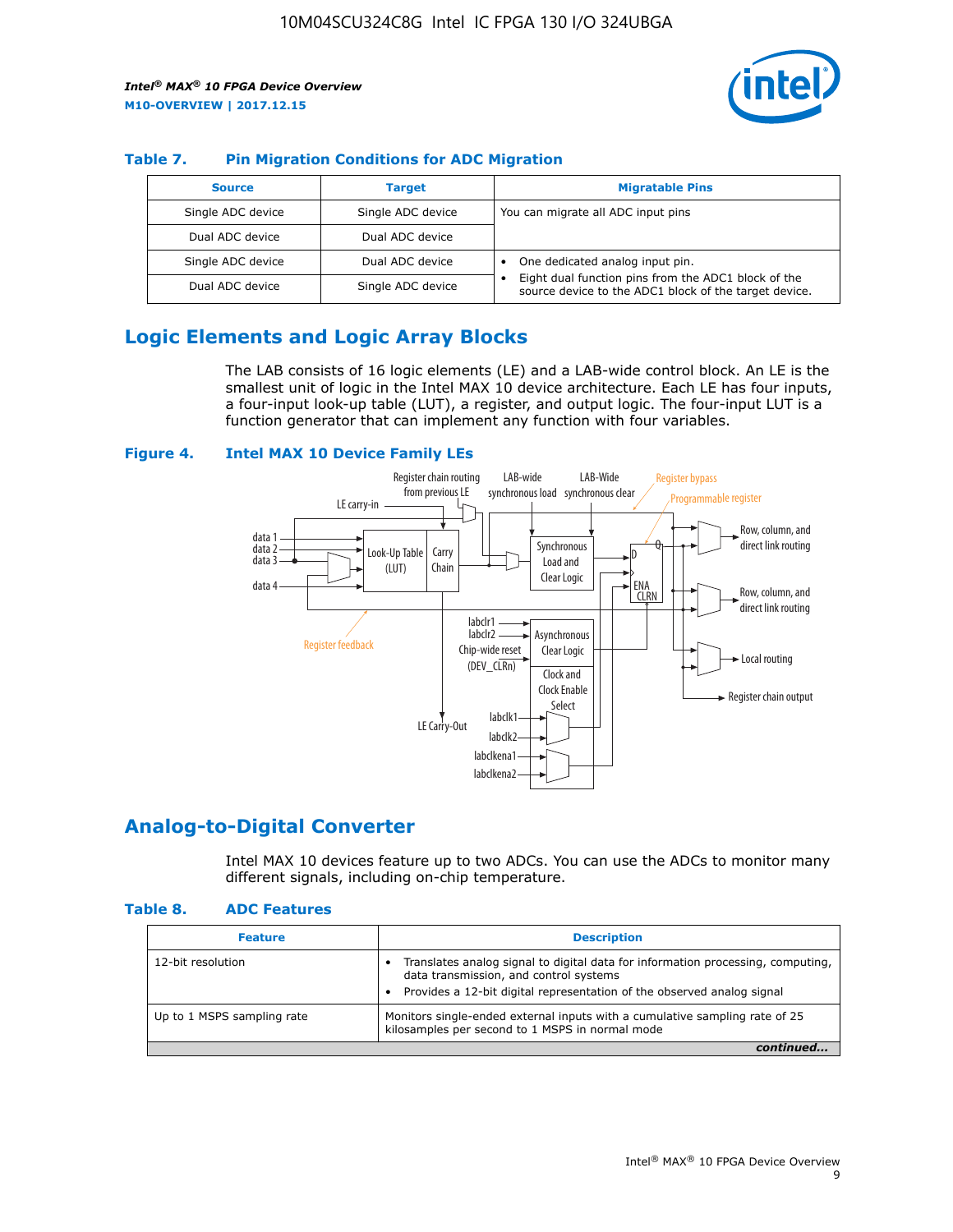

#### **Table 7. Pin Migration Conditions for ADC Migration**

| <b>Source</b>     | <b>Target</b>     | <b>Migratable Pins</b>                                                                                            |
|-------------------|-------------------|-------------------------------------------------------------------------------------------------------------------|
| Single ADC device | Single ADC device | You can migrate all ADC input pins                                                                                |
| Dual ADC device   | Dual ADC device   |                                                                                                                   |
| Single ADC device | Dual ADC device   | One dedicated analog input pin.                                                                                   |
| Dual ADC device   | Single ADC device | Eight dual function pins from the ADC1 block of the<br>٠<br>source device to the ADC1 block of the target device. |

## **Logic Elements and Logic Array Blocks**

The LAB consists of 16 logic elements (LE) and a LAB-wide control block. An LE is the smallest unit of logic in the Intel MAX 10 device architecture. Each LE has four inputs, a four-input look-up table (LUT), a register, and output logic. The four-input LUT is a function generator that can implement any function with four variables.

#### **Figure 4. Intel MAX 10 Device Family LEs**



#### **Analog-to-Digital Converter**

Intel MAX 10 devices feature up to two ADCs. You can use the ADCs to monitor many different signals, including on-chip temperature.

#### **Table 8. ADC Features**

| <b>Feature</b>             | <b>Description</b>                                                                                                                                                                                  |
|----------------------------|-----------------------------------------------------------------------------------------------------------------------------------------------------------------------------------------------------|
| 12-bit resolution          | Translates analog signal to digital data for information processing, computing,<br>data transmission, and control systems<br>Provides a 12-bit digital representation of the observed analog signal |
| Up to 1 MSPS sampling rate | Monitors single-ended external inputs with a cumulative sampling rate of 25<br>kilosamples per second to 1 MSPS in normal mode                                                                      |
|                            |                                                                                                                                                                                                     |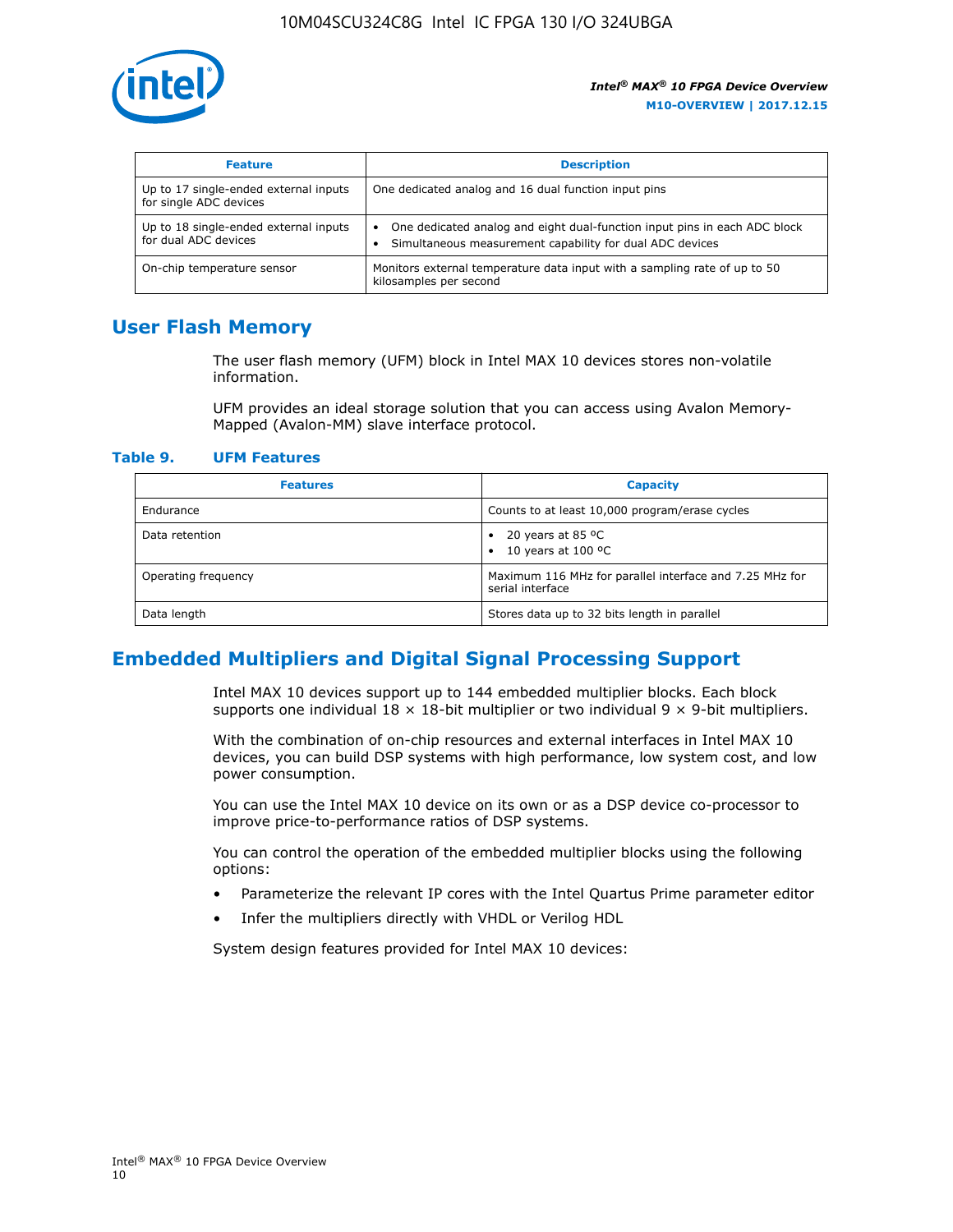

| <b>Feature</b>                                                  | <b>Description</b>                                                                                                                    |  |
|-----------------------------------------------------------------|---------------------------------------------------------------------------------------------------------------------------------------|--|
| Up to 17 single-ended external inputs<br>for single ADC devices | One dedicated analog and 16 dual function input pins                                                                                  |  |
| Up to 18 single-ended external inputs<br>for dual ADC devices   | One dedicated analog and eight dual-function input pins in each ADC block<br>Simultaneous measurement capability for dual ADC devices |  |
| On-chip temperature sensor                                      | Monitors external temperature data input with a sampling rate of up to 50<br>kilosamples per second                                   |  |

## **User Flash Memory**

The user flash memory (UFM) block in Intel MAX 10 devices stores non-volatile information.

UFM provides an ideal storage solution that you can access using Avalon Memory-Mapped (Avalon-MM) slave interface protocol.

#### **Table 9. UFM Features**

| <b>Features</b>     | <b>Capacity</b>                                                             |
|---------------------|-----------------------------------------------------------------------------|
| Endurance           | Counts to at least 10,000 program/erase cycles                              |
| Data retention      | 20 years at 85 $^{\circ}$ C<br>٠<br>10 years at 100 °C<br>$\bullet$         |
| Operating frequency | Maximum 116 MHz for parallel interface and 7.25 MHz for<br>serial interface |
| Data length         | Stores data up to 32 bits length in parallel                                |

## **Embedded Multipliers and Digital Signal Processing Support**

Intel MAX 10 devices support up to 144 embedded multiplier blocks. Each block supports one individual  $18 \times 18$ -bit multiplier or two individual  $9 \times 9$ -bit multipliers.

With the combination of on-chip resources and external interfaces in Intel MAX 10 devices, you can build DSP systems with high performance, low system cost, and low power consumption.

You can use the Intel MAX 10 device on its own or as a DSP device co-processor to improve price-to-performance ratios of DSP systems.

You can control the operation of the embedded multiplier blocks using the following options:

- Parameterize the relevant IP cores with the Intel Quartus Prime parameter editor
- Infer the multipliers directly with VHDL or Verilog HDL

System design features provided for Intel MAX 10 devices: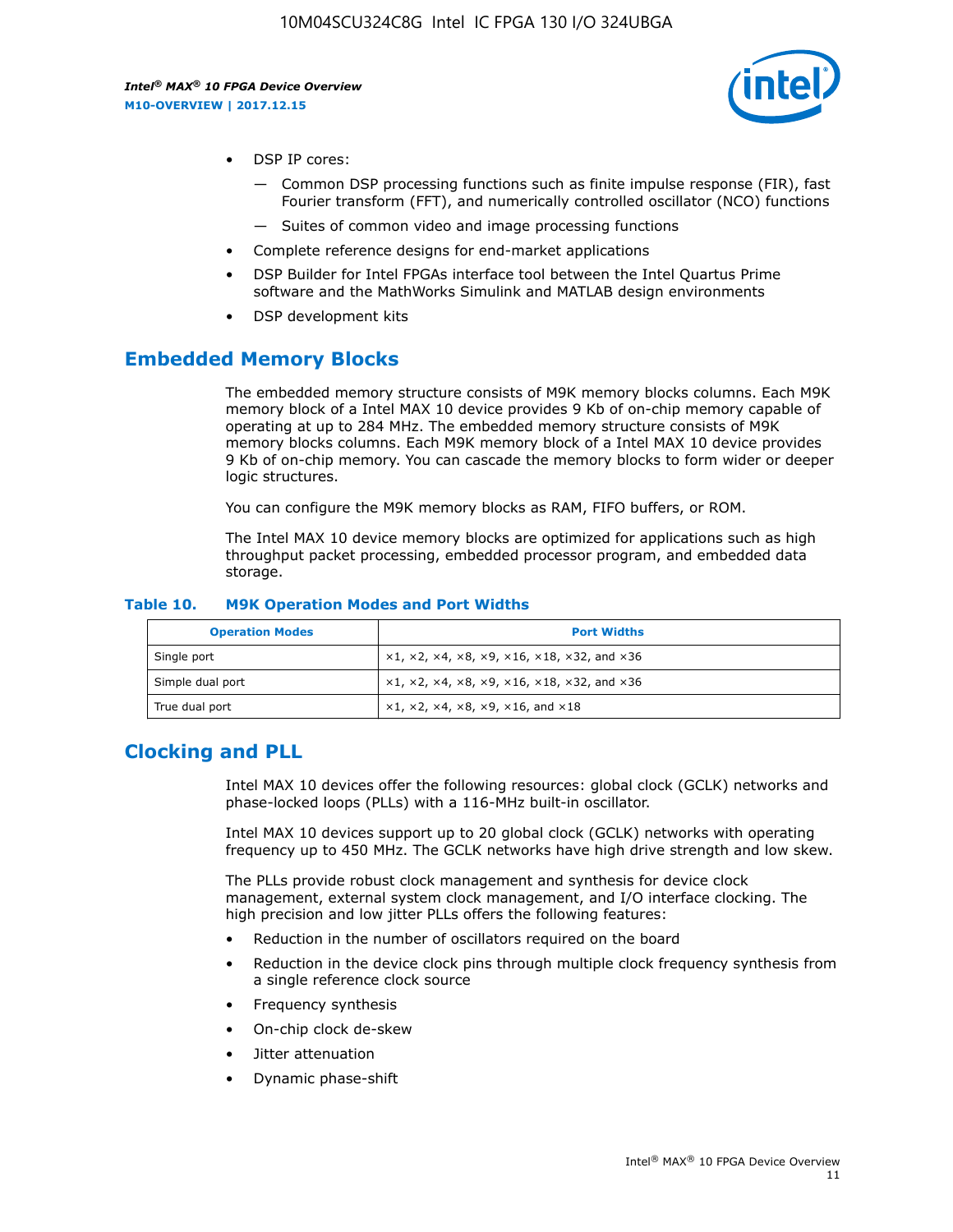

- DSP IP cores:
	- Common DSP processing functions such as finite impulse response (FIR), fast Fourier transform (FFT), and numerically controlled oscillator (NCO) functions
	- Suites of common video and image processing functions
- Complete reference designs for end-market applications
- DSP Builder for Intel FPGAs interface tool between the Intel Quartus Prime software and the MathWorks Simulink and MATLAB design environments
- DSP development kits

#### **Embedded Memory Blocks**

The embedded memory structure consists of M9K memory blocks columns. Each M9K memory block of a Intel MAX 10 device provides 9 Kb of on-chip memory capable of operating at up to 284 MHz. The embedded memory structure consists of M9K memory blocks columns. Each M9K memory block of a Intel MAX 10 device provides 9 Kb of on-chip memory. You can cascade the memory blocks to form wider or deeper logic structures.

You can configure the M9K memory blocks as RAM, FIFO buffers, or ROM.

The Intel MAX 10 device memory blocks are optimized for applications such as high throughput packet processing, embedded processor program, and embedded data storage.

| <b>Operation Modes</b> | <b>Port Widths</b>                                                            |
|------------------------|-------------------------------------------------------------------------------|
| Single port            | $x1, x2, x4, x8, x9, x16, x18, x32, and x36$                                  |
| Simple dual port       | $x1, x2, x4, x8, x9, x16, x18, x32, and x36$                                  |
| True dual port         | $\times1, \times2, \times4, \times8, \times9, \times16, \text{and } \times18$ |

#### **Table 10. M9K Operation Modes and Port Widths**

## **Clocking and PLL**

Intel MAX 10 devices offer the following resources: global clock (GCLK) networks and phase-locked loops (PLLs) with a 116-MHz built-in oscillator.

Intel MAX 10 devices support up to 20 global clock (GCLK) networks with operating frequency up to 450 MHz. The GCLK networks have high drive strength and low skew.

The PLLs provide robust clock management and synthesis for device clock management, external system clock management, and I/O interface clocking. The high precision and low jitter PLLs offers the following features:

- Reduction in the number of oscillators required on the board
- Reduction in the device clock pins through multiple clock frequency synthesis from a single reference clock source
- Frequency synthesis
- On-chip clock de-skew
- Jitter attenuation
- Dynamic phase-shift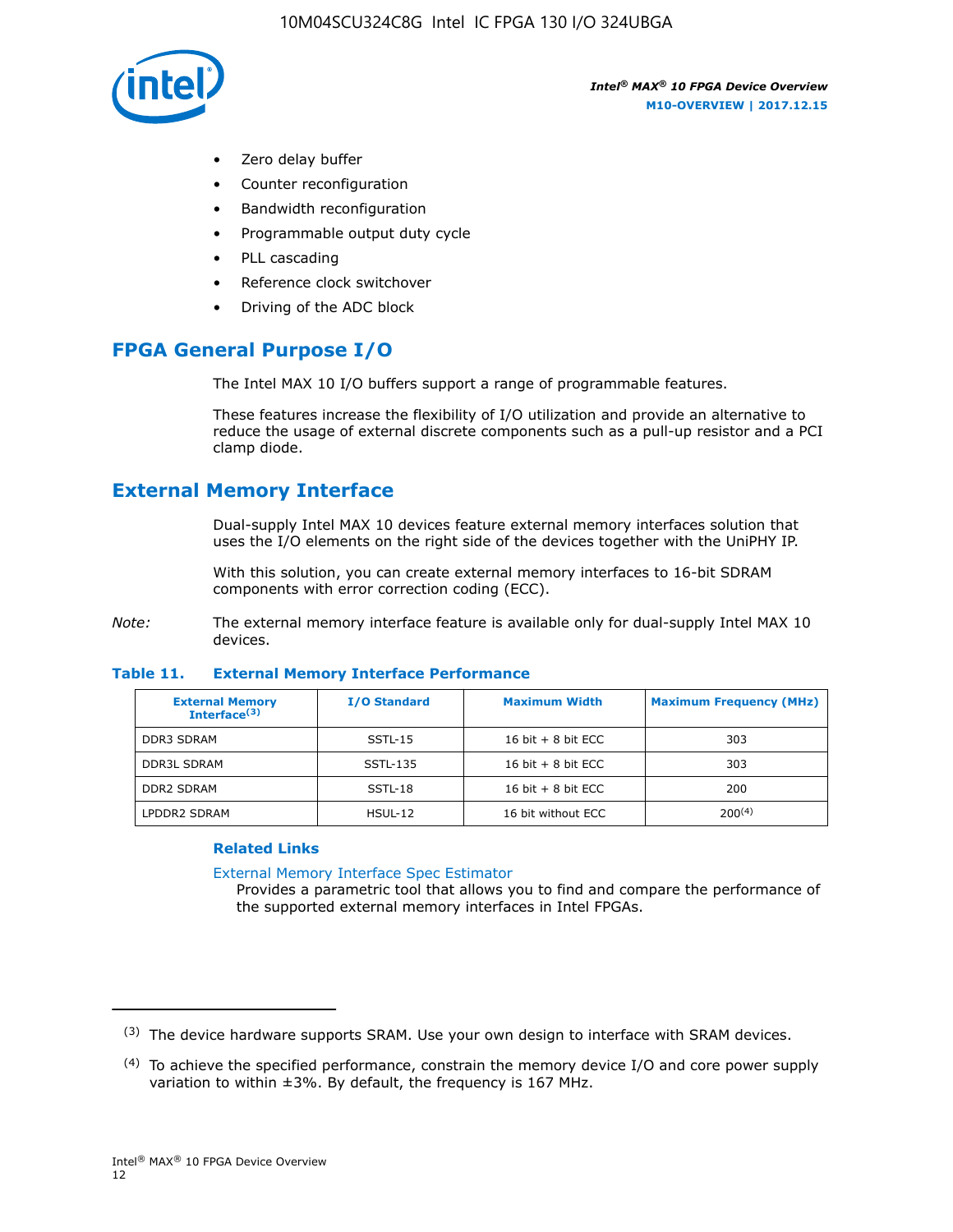

- Zero delay buffer
- Counter reconfiguration
- Bandwidth reconfiguration
- Programmable output duty cycle
- PLL cascading
- Reference clock switchover
- Driving of the ADC block

## **FPGA General Purpose I/O**

The Intel MAX 10 I/O buffers support a range of programmable features.

These features increase the flexibility of I/O utilization and provide an alternative to reduce the usage of external discrete components such as a pull-up resistor and a PCI clamp diode.

## **External Memory Interface**

Dual-supply Intel MAX 10 devices feature external memory interfaces solution that uses the I/O elements on the right side of the devices together with the UniPHY IP.

With this solution, you can create external memory interfaces to 16-bit SDRAM components with error correction coding (ECC).

*Note:* The external memory interface feature is available only for dual-supply Intel MAX 10 devices.

#### **Table 11. External Memory Interface Performance**

| <b>External Memory</b><br>Interface <sup>(3)</sup> | <b>I/O Standard</b> | <b>Maximum Width</b> | <b>Maximum Frequency (MHz)</b> |
|----------------------------------------------------|---------------------|----------------------|--------------------------------|
| <b>DDR3 SDRAM</b>                                  | SSTL-15             | 16 bit $+8$ bit ECC  | 303                            |
| <b>DDR3L SDRAM</b>                                 | SSTL-135            | 16 bit $+8$ bit ECC  | 303                            |
| <b>DDR2 SDRAM</b>                                  | SSTL-18             | 16 bit $+8$ bit ECC  | 200                            |
| LPDDR2 SDRAM                                       | $H SUL-12$          | 16 bit without ECC   | 200(4)                         |

#### **Related Links**

[External Memory Interface Spec Estimator](http://www.altera.com/technology/memory/estimator/mem-emif-index.html)

Provides a parametric tool that allows you to find and compare the performance of the supported external memory interfaces in Intel FPGAs.

 $(3)$  The device hardware supports SRAM. Use your own design to interface with SRAM devices.

 $(4)$  To achieve the specified performance, constrain the memory device I/O and core power supply variation to within ±3%. By default, the frequency is 167 MHz.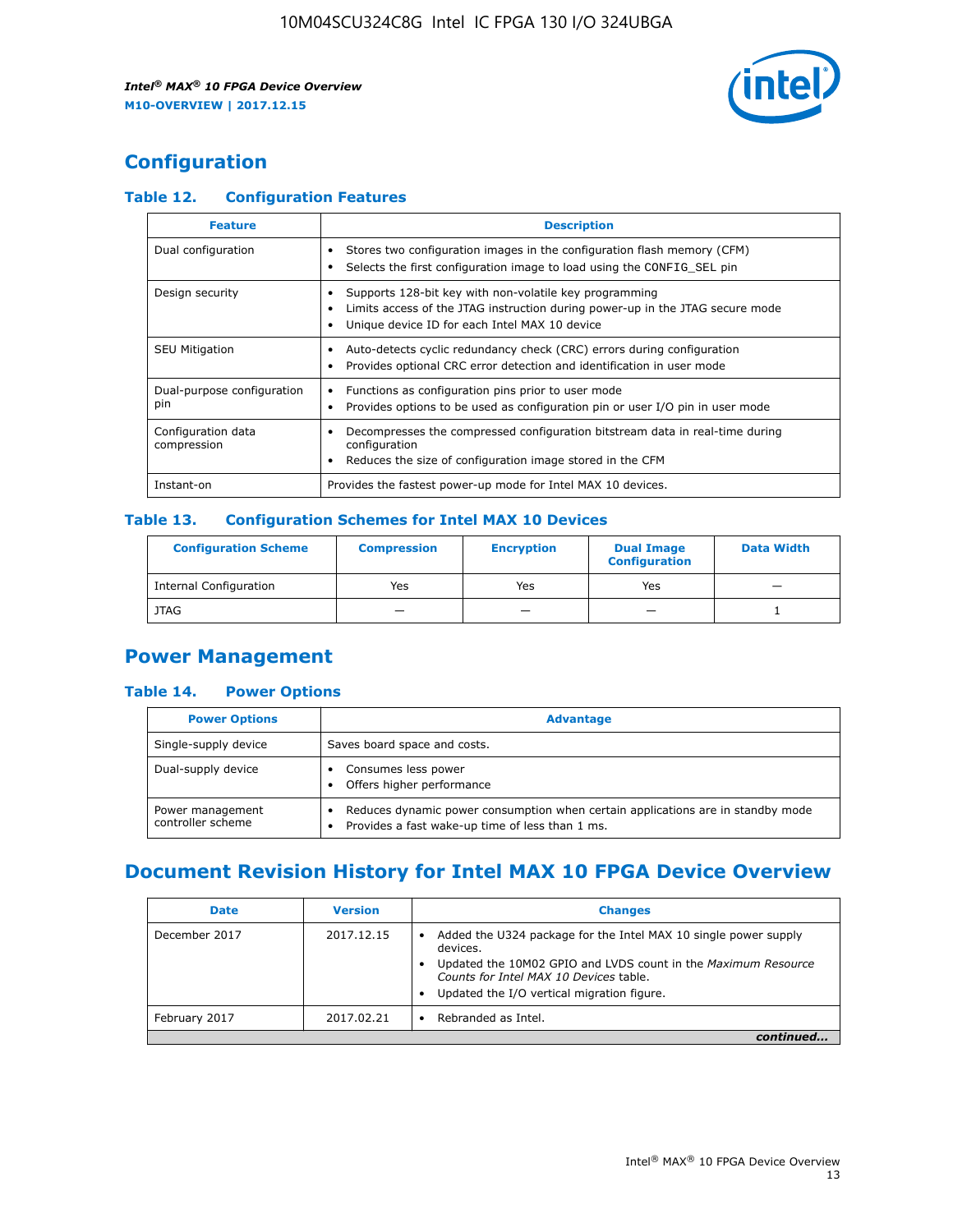

## **Configuration**

#### **Table 12. Configuration Features**

| <b>Feature</b>                    | <b>Description</b>                                                                                                                                                                       |
|-----------------------------------|------------------------------------------------------------------------------------------------------------------------------------------------------------------------------------------|
| Dual configuration                | Stores two configuration images in the configuration flash memory (CFM)<br>Selects the first configuration image to load using the CONFIG SEL pin                                        |
| Design security                   | Supports 128-bit key with non-volatile key programming<br>Limits access of the JTAG instruction during power-up in the JTAG secure mode<br>Unique device ID for each Intel MAX 10 device |
| <b>SEU Mitigation</b>             | Auto-detects cyclic redundancy check (CRC) errors during configuration<br>Provides optional CRC error detection and identification in user mode                                          |
| Dual-purpose configuration<br>pin | Functions as configuration pins prior to user mode<br>$\bullet$<br>Provides options to be used as configuration pin or user I/O pin in user mode                                         |
| Configuration data<br>compression | Decompresses the compressed configuration bitstream data in real-time during<br>configuration<br>Reduces the size of configuration image stored in the CFM                               |
| Instant-on                        | Provides the fastest power-up mode for Intel MAX 10 devices.                                                                                                                             |

#### **Table 13. Configuration Schemes for Intel MAX 10 Devices**

| <b>Configuration Scheme</b> | <b>Compression</b> | <b>Encryption</b> | <b>Dual Image</b><br><b>Configuration</b> | <b>Data Width</b> |
|-----------------------------|--------------------|-------------------|-------------------------------------------|-------------------|
| Internal Configuration      | Yes                | Yes               | Yes                                       |                   |
| <b>JTAG</b>                 | _                  |                   | -                                         |                   |

## **Power Management**

#### **Table 14. Power Options**

| <b>Power Options</b>                  | <b>Advantage</b>                                                                                                                        |  |
|---------------------------------------|-----------------------------------------------------------------------------------------------------------------------------------------|--|
| Single-supply device                  | Saves board space and costs.                                                                                                            |  |
| Dual-supply device                    | Consumes less power<br>Offers higher performance<br>$\bullet$                                                                           |  |
| Power management<br>controller scheme | Reduces dynamic power consumption when certain applications are in standby mode<br>Provides a fast wake-up time of less than 1 ms.<br>٠ |  |

## **Document Revision History for Intel MAX 10 FPGA Device Overview**

| <b>Date</b>   | <b>Version</b> | <b>Changes</b>                                                                                                                                                                                                                       |
|---------------|----------------|--------------------------------------------------------------------------------------------------------------------------------------------------------------------------------------------------------------------------------------|
| December 2017 | 2017.12.15     | Added the U324 package for the Intel MAX 10 single power supply<br>devices.<br>Updated the 10M02 GPIO and LVDS count in the Maximum Resource<br>Counts for Intel MAX 10 Devices table.<br>Updated the I/O vertical migration figure. |
| February 2017 | 2017.02.21     | Rebranded as Intel.                                                                                                                                                                                                                  |
|               |                |                                                                                                                                                                                                                                      |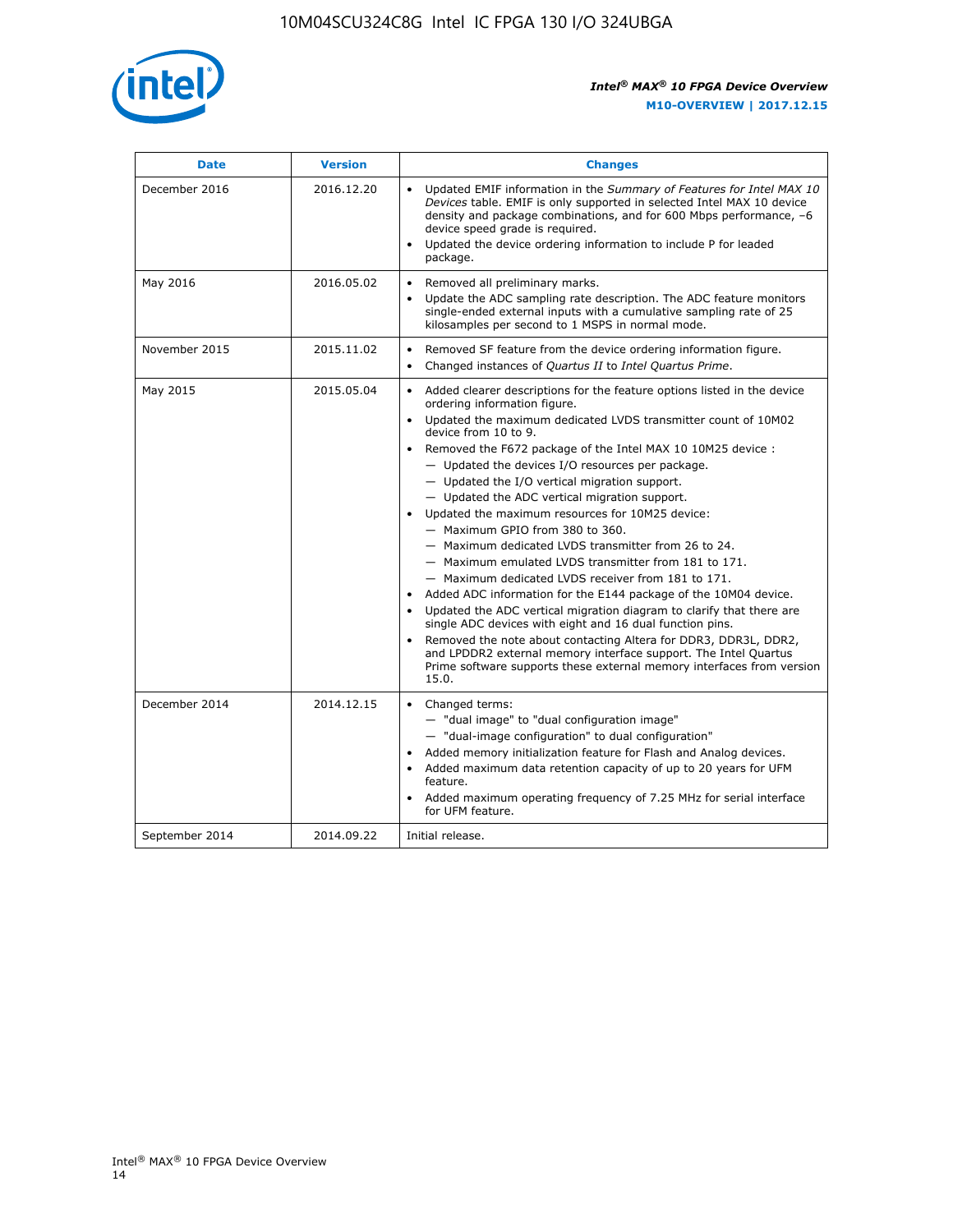

| <b>Date</b>    | <b>Version</b> | <b>Changes</b>                                                                                                                                                                                                                                                                                                                                                                                                                                                                                                                                                                                                                                                                                                                                                                                                                                                                                                                                                                                                                                                                                                                                           |
|----------------|----------------|----------------------------------------------------------------------------------------------------------------------------------------------------------------------------------------------------------------------------------------------------------------------------------------------------------------------------------------------------------------------------------------------------------------------------------------------------------------------------------------------------------------------------------------------------------------------------------------------------------------------------------------------------------------------------------------------------------------------------------------------------------------------------------------------------------------------------------------------------------------------------------------------------------------------------------------------------------------------------------------------------------------------------------------------------------------------------------------------------------------------------------------------------------|
| December 2016  | 2016.12.20     | • Updated EMIF information in the Summary of Features for Intel MAX 10<br>Devices table. EMIF is only supported in selected Intel MAX 10 device<br>density and package combinations, and for 600 Mbps performance, -6<br>device speed grade is required.<br>Updated the device ordering information to include P for leaded<br>package.                                                                                                                                                                                                                                                                                                                                                                                                                                                                                                                                                                                                                                                                                                                                                                                                                  |
| May 2016       | 2016.05.02     | Removed all preliminary marks.<br>Update the ADC sampling rate description. The ADC feature monitors<br>$\bullet$<br>single-ended external inputs with a cumulative sampling rate of 25<br>kilosamples per second to 1 MSPS in normal mode.                                                                                                                                                                                                                                                                                                                                                                                                                                                                                                                                                                                                                                                                                                                                                                                                                                                                                                              |
| November 2015  | 2015.11.02     | Removed SF feature from the device ordering information figure.<br>$\bullet$<br>Changed instances of Quartus II to Intel Quartus Prime.<br>$\bullet$                                                                                                                                                                                                                                                                                                                                                                                                                                                                                                                                                                                                                                                                                                                                                                                                                                                                                                                                                                                                     |
| May 2015       | 2015.05.04     | Added clearer descriptions for the feature options listed in the device<br>$\bullet$<br>ordering information figure.<br>Updated the maximum dedicated LVDS transmitter count of 10M02<br>$\bullet$<br>device from 10 to 9.<br>Removed the F672 package of the Intel MAX 10 10M25 device :<br>- Updated the devices I/O resources per package.<br>$-$ Updated the I/O vertical migration support.<br>- Updated the ADC vertical migration support.<br>Updated the maximum resources for 10M25 device:<br>- Maximum GPIO from 380 to 360.<br>- Maximum dedicated LVDS transmitter from 26 to 24.<br>- Maximum emulated LVDS transmitter from 181 to 171.<br>- Maximum dedicated LVDS receiver from 181 to 171.<br>Added ADC information for the E144 package of the 10M04 device.<br>$\bullet$<br>Updated the ADC vertical migration diagram to clarify that there are<br>single ADC devices with eight and 16 dual function pins.<br>Removed the note about contacting Altera for DDR3, DDR3L, DDR2,<br>and LPDDR2 external memory interface support. The Intel Quartus<br>Prime software supports these external memory interfaces from version<br>15.0. |
| December 2014  | 2014.12.15     | Changed terms:<br>$\bullet$<br>- "dual image" to "dual configuration image"<br>- "dual-image configuration" to dual configuration"<br>Added memory initialization feature for Flash and Analog devices.<br>$\bullet$<br>Added maximum data retention capacity of up to 20 years for UFM<br>$\bullet$<br>feature.<br>Added maximum operating frequency of 7.25 MHz for serial interface<br>for UFM feature.                                                                                                                                                                                                                                                                                                                                                                                                                                                                                                                                                                                                                                                                                                                                               |
| September 2014 | 2014.09.22     | Initial release.                                                                                                                                                                                                                                                                                                                                                                                                                                                                                                                                                                                                                                                                                                                                                                                                                                                                                                                                                                                                                                                                                                                                         |